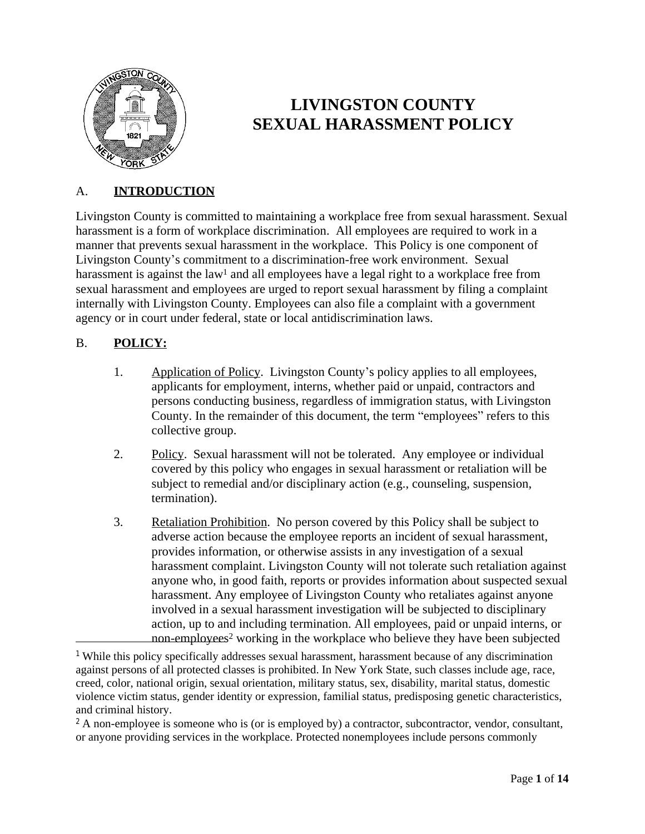

# **LIVINGSTON COUNTY SEXUAL HARASSMENT POLICY**

## A. **INTRODUCTION**

Livingston County is committed to maintaining a workplace free from sexual harassment. Sexual harassment is a form of workplace discrimination. All employees are required to work in a manner that prevents sexual harassment in the workplace. This Policy is one component of Livingston County's commitment to a discrimination-free work environment. Sexual harassment is against the law<sup>1</sup> and all employees have a legal right to a workplace free from sexual harassment and employees are urged to report sexual harassment by filing a complaint internally with Livingston County. Employees can also file a complaint with a government agency or in court under federal, state or local antidiscrimination laws.

#### B. **POLICY:**

- 1. Application of Policy. Livingston County's policy applies to all employees, applicants for employment, interns, whether paid or unpaid, contractors and persons conducting business, regardless of immigration status, with Livingston County. In the remainder of this document, the term "employees" refers to this collective group.
- 2. Policy. Sexual harassment will not be tolerated. Any employee or individual covered by this policy who engages in sexual harassment or retaliation will be subject to remedial and/or disciplinary action (e.g., counseling, suspension, termination).
- 3. Retaliation Prohibition. No person covered by this Policy shall be subject to adverse action because the employee reports an incident of sexual harassment, provides information, or otherwise assists in any investigation of a sexual harassment complaint. Livingston County will not tolerate such retaliation against anyone who, in good faith, reports or provides information about suspected sexual harassment. Any employee of Livingston County who retaliates against anyone involved in a sexual harassment investigation will be subjected to disciplinary action, up to and including termination. All employees, paid or unpaid interns, or non-employees<sup>2</sup> working in the workplace who believe they have been subjected

<sup>1</sup> While this policy specifically addresses sexual harassment, harassment because of any discrimination against persons of all protected classes is prohibited. In New York State, such classes include age, race, creed, color, national origin, sexual orientation, military status, sex, disability, marital status, domestic violence victim status, gender identity or expression, familial status, predisposing genetic characteristics, and criminal history.

 $2 \text{ A non-employee is someone who is (or is employed by) a contractor, subcontractor, vendor, consultant, }$ or anyone providing services in the workplace. Protected nonemployees include persons commonly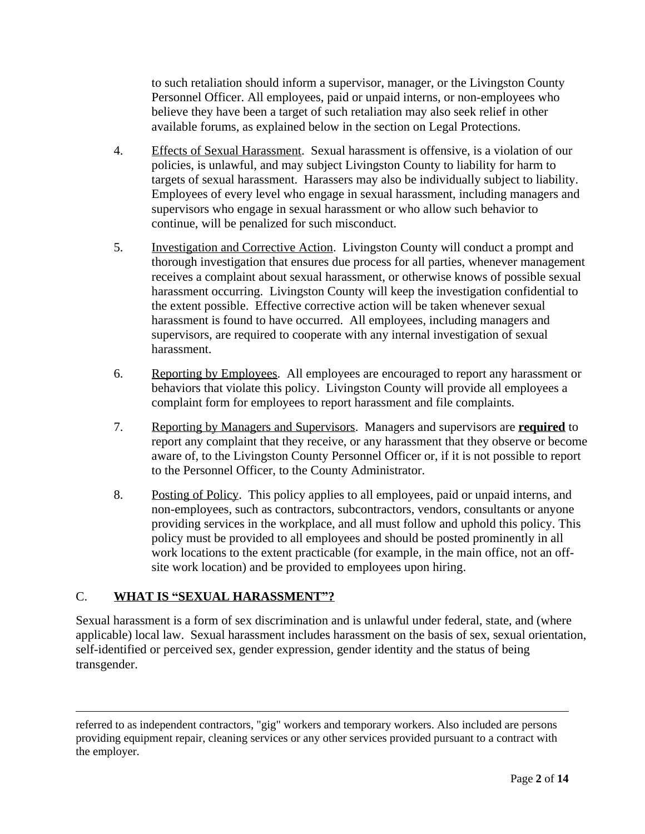to such retaliation should inform a supervisor, manager, or the Livingston County Personnel Officer. All employees, paid or unpaid interns, or non-employees who believe they have been a target of such retaliation may also seek relief in other available forums, as explained below in the section on Legal Protections.

- 4. Effects of Sexual Harassment. Sexual harassment is offensive, is a violation of our policies, is unlawful, and may subject Livingston County to liability for harm to targets of sexual harassment. Harassers may also be individually subject to liability. Employees of every level who engage in sexual harassment, including managers and supervisors who engage in sexual harassment or who allow such behavior to continue, will be penalized for such misconduct.
- 5. Investigation and Corrective Action. Livingston County will conduct a prompt and thorough investigation that ensures due process for all parties, whenever management receives a complaint about sexual harassment, or otherwise knows of possible sexual harassment occurring. Livingston County will keep the investigation confidential to the extent possible. Effective corrective action will be taken whenever sexual harassment is found to have occurred. All employees, including managers and supervisors, are required to cooperate with any internal investigation of sexual harassment.
- 6. Reporting by Employees. All employees are encouraged to report any harassment or behaviors that violate this policy. Livingston County will provide all employees a complaint form for employees to report harassment and file complaints.
- 7. Reporting by Managers and Supervisors. Managers and supervisors are **required** to report any complaint that they receive, or any harassment that they observe or become aware of, to the Livingston County Personnel Officer or, if it is not possible to report to the Personnel Officer, to the County Administrator.
- 8. Posting of Policy. This policy applies to all employees, paid or unpaid interns, and non-employees, such as contractors, subcontractors, vendors, consultants or anyone providing services in the workplace, and all must follow and uphold this policy. This policy must be provided to all employees and should be posted prominently in all work locations to the extent practicable (for example, in the main office, not an offsite work location) and be provided to employees upon hiring.

## C. **WHAT IS "SEXUAL HARASSMENT"?**

Sexual harassment is a form of sex discrimination and is unlawful under federal, state, and (where applicable) local law. Sexual harassment includes harassment on the basis of sex, sexual orientation, self-identified or perceived sex, gender expression, gender identity and the status of being transgender.

referred to as independent contractors, "gig" workers and temporary workers. Also included are persons providing equipment repair, cleaning services or any other services provided pursuant to a contract with the employer.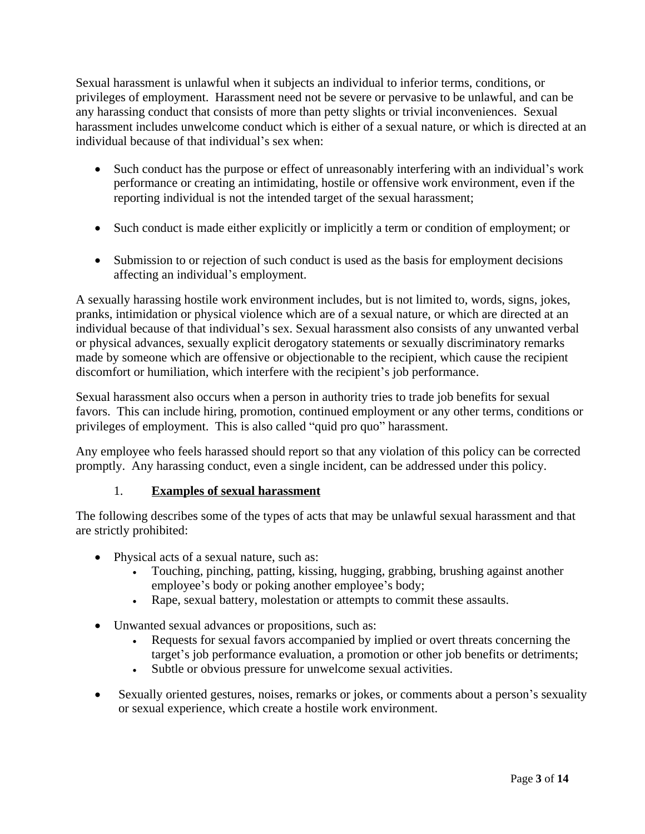Sexual harassment is unlawful when it subjects an individual to inferior terms, conditions, or privileges of employment. Harassment need not be severe or pervasive to be unlawful, and can be any harassing conduct that consists of more than petty slights or trivial inconveniences. Sexual harassment includes unwelcome conduct which is either of a sexual nature, or which is directed at an individual because of that individual's sex when:

- Such conduct has the purpose or effect of unreasonably interfering with an individual's work performance or creating an intimidating, hostile or offensive work environment, even if the reporting individual is not the intended target of the sexual harassment;
- Such conduct is made either explicitly or implicitly a term or condition of employment; or
- Submission to or rejection of such conduct is used as the basis for employment decisions affecting an individual's employment.

A sexually harassing hostile work environment includes, but is not limited to, words, signs, jokes, pranks, intimidation or physical violence which are of a sexual nature, or which are directed at an individual because of that individual's sex. Sexual harassment also consists of any unwanted verbal or physical advances, sexually explicit derogatory statements or sexually discriminatory remarks made by someone which are offensive or objectionable to the recipient, which cause the recipient discomfort or humiliation, which interfere with the recipient's job performance.

Sexual harassment also occurs when a person in authority tries to trade job benefits for sexual favors. This can include hiring, promotion, continued employment or any other terms, conditions or privileges of employment. This is also called "quid pro quo" harassment.

Any employee who feels harassed should report so that any violation of this policy can be corrected promptly. Any harassing conduct, even a single incident, can be addressed under this policy.

#### 1. **Examples of sexual harassment**

The following describes some of the types of acts that may be unlawful sexual harassment and that are strictly prohibited:

- Physical acts of a sexual nature, such as:
	- Touching, pinching, patting, kissing, hugging, grabbing, brushing against another employee's body or poking another employee's body;
	- Rape, sexual battery, molestation or attempts to commit these assaults.
- Unwanted sexual advances or propositions, such as:
	- Requests for sexual favors accompanied by implied or overt threats concerning the target's job performance evaluation, a promotion or other job benefits or detriments;
	- Subtle or obvious pressure for unwelcome sexual activities.
- Sexually oriented gestures, noises, remarks or jokes, or comments about a person's sexuality or sexual experience, which create a hostile work environment.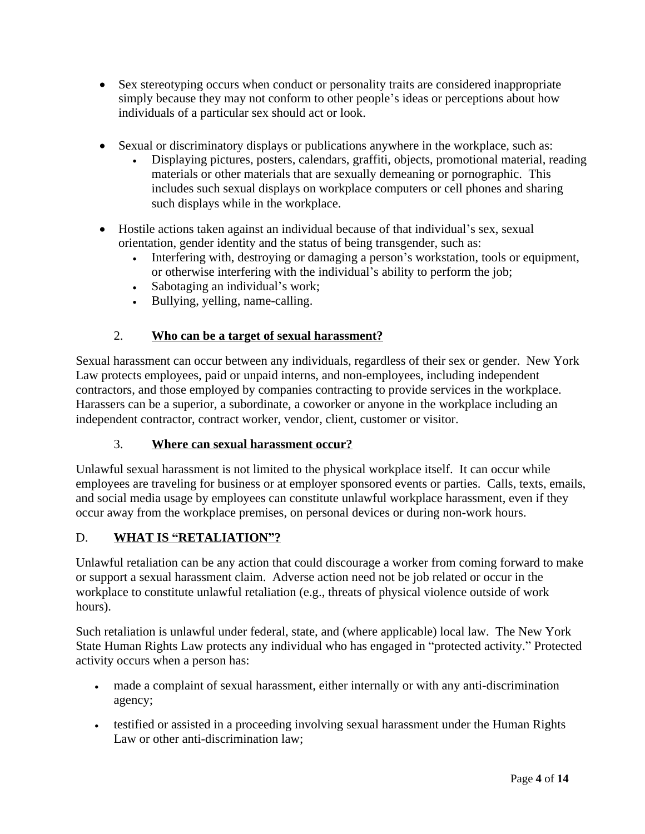- Sex stereotyping occurs when conduct or personality traits are considered inappropriate simply because they may not conform to other people's ideas or perceptions about how individuals of a particular sex should act or look.
- Sexual or discriminatory displays or publications anywhere in the workplace, such as:
	- Displaying pictures, posters, calendars, graffiti, objects, promotional material, reading materials or other materials that are sexually demeaning or pornographic. This includes such sexual displays on workplace computers or cell phones and sharing such displays while in the workplace.
- Hostile actions taken against an individual because of that individual's sex, sexual orientation, gender identity and the status of being transgender, such as:
	- Interfering with, destroying or damaging a person's workstation, tools or equipment, or otherwise interfering with the individual's ability to perform the job;
	- Sabotaging an individual's work;
	- Bullying, yelling, name-calling.

### 2. **Who can be a target of sexual harassment?**

Sexual harassment can occur between any individuals, regardless of their sex or gender. New York Law protects employees, paid or unpaid interns, and non-employees, including independent contractors, and those employed by companies contracting to provide services in the workplace. Harassers can be a superior, a subordinate, a coworker or anyone in the workplace including an independent contractor, contract worker, vendor, client, customer or visitor.

### 3. **Where can sexual harassment occur?**

Unlawful sexual harassment is not limited to the physical workplace itself. It can occur while employees are traveling for business or at employer sponsored events or parties. Calls, texts, emails, and social media usage by employees can constitute unlawful workplace harassment, even if they occur away from the workplace premises, on personal devices or during non-work hours.

### D. **WHAT IS "RETALIATION"?**

Unlawful retaliation can be any action that could discourage a worker from coming forward to make or support a sexual harassment claim. Adverse action need not be job related or occur in the workplace to constitute unlawful retaliation (e.g., threats of physical violence outside of work hours).

Such retaliation is unlawful under federal, state, and (where applicable) local law. The New York State Human Rights Law protects any individual who has engaged in "protected activity." Protected activity occurs when a person has:

- made a complaint of sexual harassment, either internally or with any anti-discrimination agency;
- testified or assisted in a proceeding involving sexual harassment under the Human Rights Law or other anti-discrimination law;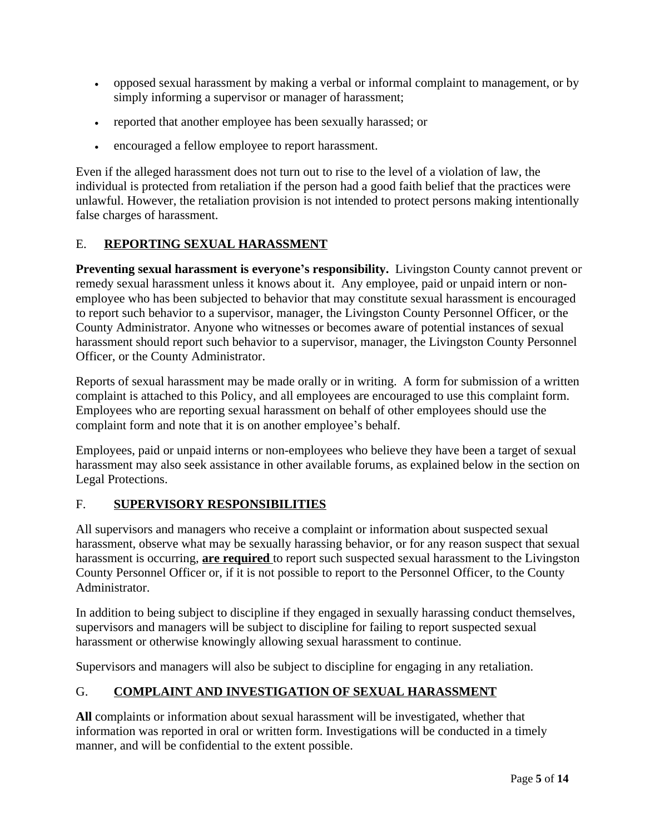- opposed sexual harassment by making a verbal or informal complaint to management, or by simply informing a supervisor or manager of harassment;
- reported that another employee has been sexually harassed; or
- encouraged a fellow employee to report harassment.

Even if the alleged harassment does not turn out to rise to the level of a violation of law, the individual is protected from retaliation if the person had a good faith belief that the practices were unlawful. However, the retaliation provision is not intended to protect persons making intentionally false charges of harassment.

## E. **REPORTING SEXUAL HARASSMENT**

**Preventing sexual harassment is everyone's responsibility.** Livingston County cannot prevent or remedy sexual harassment unless it knows about it. Any employee, paid or unpaid intern or nonemployee who has been subjected to behavior that may constitute sexual harassment is encouraged to report such behavior to a supervisor, manager, the Livingston County Personnel Officer, or the County Administrator. Anyone who witnesses or becomes aware of potential instances of sexual harassment should report such behavior to a supervisor, manager, the Livingston County Personnel Officer, or the County Administrator.

Reports of sexual harassment may be made orally or in writing. A form for submission of a written complaint is attached to this Policy, and all employees are encouraged to use this complaint form. Employees who are reporting sexual harassment on behalf of other employees should use the complaint form and note that it is on another employee's behalf.

Employees, paid or unpaid interns or non-employees who believe they have been a target of sexual harassment may also seek assistance in other available forums, as explained below in the section on Legal Protections.

### F. **SUPERVISORY RESPONSIBILITIES**

All supervisors and managers who receive a complaint or information about suspected sexual harassment, observe what may be sexually harassing behavior, or for any reason suspect that sexual harassment is occurring, **are required** to report such suspected sexual harassment to the Livingston County Personnel Officer or, if it is not possible to report to the Personnel Officer, to the County Administrator.

In addition to being subject to discipline if they engaged in sexually harassing conduct themselves, supervisors and managers will be subject to discipline for failing to report suspected sexual harassment or otherwise knowingly allowing sexual harassment to continue.

Supervisors and managers will also be subject to discipline for engaging in any retaliation.

## G. **COMPLAINT AND INVESTIGATION OF SEXUAL HARASSMENT**

**All** complaints or information about sexual harassment will be investigated, whether that information was reported in oral or written form. Investigations will be conducted in a timely manner, and will be confidential to the extent possible.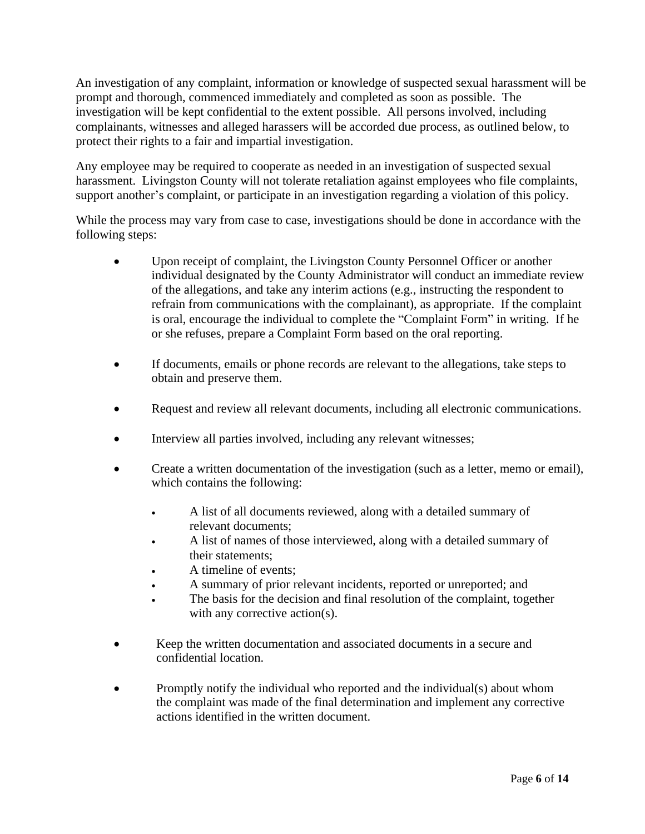An investigation of any complaint, information or knowledge of suspected sexual harassment will be prompt and thorough, commenced immediately and completed as soon as possible. The investigation will be kept confidential to the extent possible. All persons involved, including complainants, witnesses and alleged harassers will be accorded due process, as outlined below, to protect their rights to a fair and impartial investigation.

Any employee may be required to cooperate as needed in an investigation of suspected sexual harassment. Livingston County will not tolerate retaliation against employees who file complaints, support another's complaint, or participate in an investigation regarding a violation of this policy.

While the process may vary from case to case, investigations should be done in accordance with the following steps:

- Upon receipt of complaint, the Livingston County Personnel Officer or another individual designated by the County Administrator will conduct an immediate review of the allegations, and take any interim actions (e.g., instructing the respondent to refrain from communications with the complainant), as appropriate. If the complaint is oral, encourage the individual to complete the "Complaint Form" in writing. If he or she refuses, prepare a Complaint Form based on the oral reporting.
- If documents, emails or phone records are relevant to the allegations, take steps to obtain and preserve them.
- Request and review all relevant documents, including all electronic communications.
- Interview all parties involved, including any relevant witnesses;
- Create a written documentation of the investigation (such as a letter, memo or email), which contains the following:
	- A list of all documents reviewed, along with a detailed summary of relevant documents;
	- A list of names of those interviewed, along with a detailed summary of their statements;
	- A timeline of events;
	- A summary of prior relevant incidents, reported or unreported; and
	- The basis for the decision and final resolution of the complaint, together with any corrective action(s).
- Keep the written documentation and associated documents in a secure and confidential location.
- Promptly notify the individual who reported and the individual(s) about whom the complaint was made of the final determination and implement any corrective actions identified in the written document.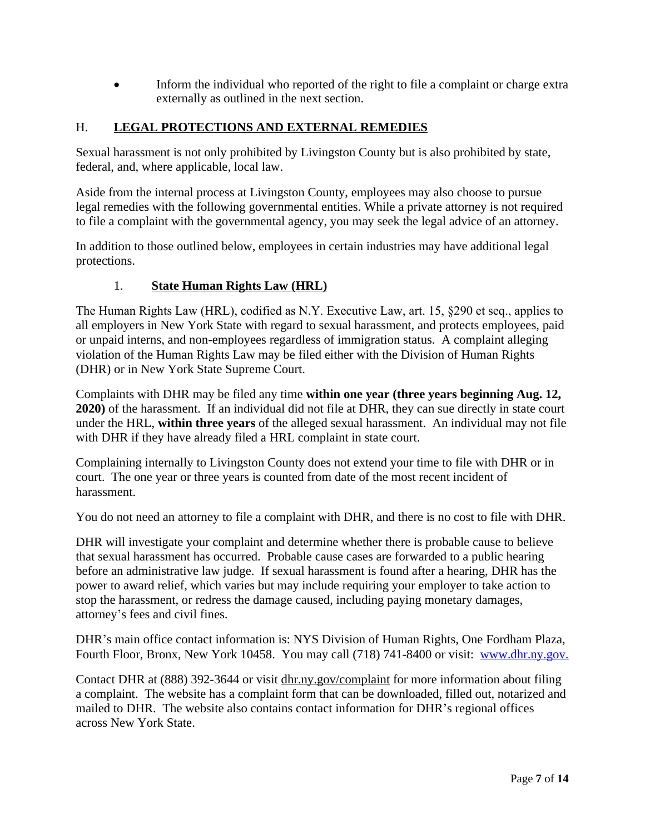• Inform the individual who reported of the right to file a complaint or charge extra externally as outlined in the next section.

## H. **LEGAL PROTECTIONS AND EXTERNAL REMEDIES**

Sexual harassment is not only prohibited by Livingston County but is also prohibited by state, federal, and, where applicable, local law.

Aside from the internal process at Livingston County, employees may also choose to pursue legal remedies with the following governmental entities. While a private attorney is not required to file a complaint with the governmental agency, you may seek the legal advice of an attorney.

In addition to those outlined below, employees in certain industries may have additional legal protections.

### 1. **State Human Rights Law (HRL)**

The Human Rights Law (HRL), codified as N.Y. Executive Law, art. 15, §290 et seq., applies to all employers in New York State with regard to sexual harassment, and protects employees, paid or unpaid interns, and non-employees regardless of immigration status. A complaint alleging violation of the Human Rights Law may be filed either with the Division of Human Rights (DHR) or in New York State Supreme Court.

Complaints with DHR may be filed any time **within one year (three years beginning Aug. 12, 2020)** of the harassment. If an individual did not file at DHR, they can sue directly in state court under the HRL, **within three years** of the alleged sexual harassment. An individual may not file with DHR if they have already filed a HRL complaint in state court.

Complaining internally to Livingston County does not extend your time to file with DHR or in court. The one year or three years is counted from date of the most recent incident of harassment.

You do not need an attorney to file a complaint with DHR, and there is no cost to file with DHR.

DHR will investigate your complaint and determine whether there is probable cause to believe that sexual harassment has occurred. Probable cause cases are forwarded to a public hearing before an administrative law judge. If sexual harassment is found after a hearing, DHR has the power to award relief, which varies but may include requiring your employer to take action to stop the harassment, or redress the damage caused, including paying monetary damages, attorney's fees and civil fines.

DHR's main office contact information is: NYS Division of Human Rights, One Fordham Plaza, Fourth Floor, Bronx, New York 10458. You may call (718) 741-8400 or visit: [www.dhr.ny.gov.](http://www.dhr.ny.gov)

Contact DHR at (888) 392-3644 or visit dhr.ny.gov/complaint for more information about filing a complaint. The website has a complaint form that can be downloaded, filled out, notarized and mailed to DHR. The website also contains contact information for DHR's regional offices across New York State.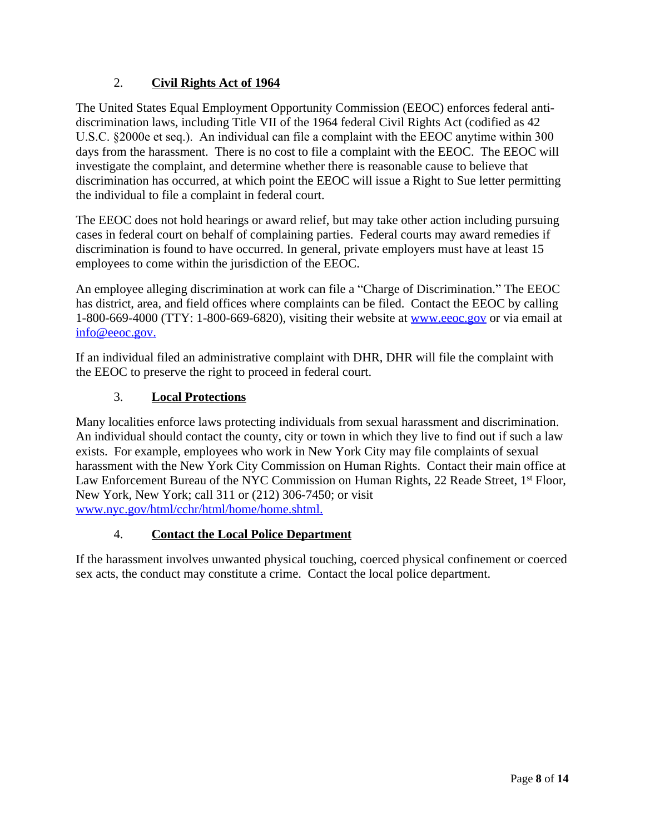## 2. **Civil Rights Act of 1964**

The United States Equal Employment Opportunity Commission (EEOC) enforces federal antidiscrimination laws, including Title VII of the 1964 federal Civil Rights Act (codified as 42 U.S.C. §2000e et seq.). An individual can file a complaint with the EEOC anytime within 300 days from the harassment. There is no cost to file a complaint with the EEOC. The EEOC will investigate the complaint, and determine whether there is reasonable cause to believe that discrimination has occurred, at which point the EEOC will issue a Right to Sue letter permitting the individual to file a complaint in federal court.

The EEOC does not hold hearings or award relief, but may take other action including pursuing cases in federal court on behalf of complaining parties. Federal courts may award remedies if discrimination is found to have occurred. In general, private employers must have at least 15 employees to come within the jurisdiction of the EEOC.

An employee alleging discrimination at work can file a "Charge of Discrimination." The EEOC has district, area, and field offices where complaints can be filed. Contact the EEOC by calling 1-800-669-4000 (TTY: 1-800-669-6820), visiting their website at [www.eeoc.gov](http://www.eeoc.gov) or via email at [info@eeoc.gov.](mailto:info@eeoc.gov)

If an individual filed an administrative complaint with DHR, DHR will file the complaint with the EEOC to preserve the right to proceed in federal court.

## 3. **Local Protections**

Many localities enforce laws protecting individuals from sexual harassment and discrimination. An individual should contact the county, city or town in which they live to find out if such a law exists. For example, employees who work in New York City may file complaints of sexual harassment with the New York City Commission on Human Rights. Contact their main office at Law Enforcement Bureau of the NYC Commission on Human Rights, 22 Reade Street, 1<sup>st</sup> Floor, New York, New York; call 311 or (212) 306-7450; or visit [www.nyc.gov/html/cchr/html/home/home.shtml.](http://www.nyc.gov/html/cchr/html/home/home.shtml)

### 4. **Contact the Local Police Department**

If the harassment involves unwanted physical touching, coerced physical confinement or coerced sex acts, the conduct may constitute a crime. Contact the local police department.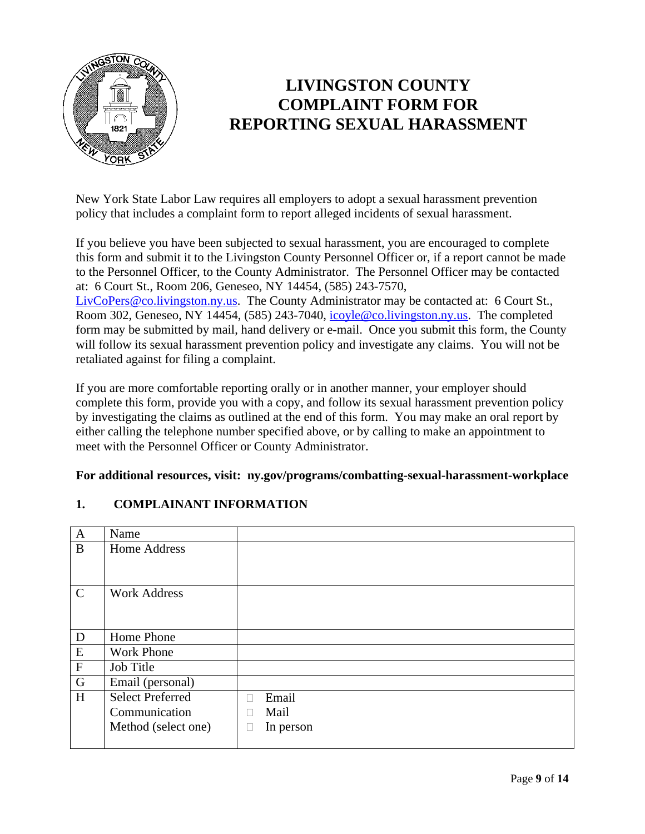

# **LIVINGSTON COUNTY COMPLAINT FORM FOR REPORTING SEXUAL HARASSMENT**

New York State Labor Law requires all employers to adopt a sexual harassment prevention policy that includes a complaint form to report alleged incidents of sexual harassment.

If you believe you have been subjected to sexual harassment, you are encouraged to complete this form and submit it to the Livingston County Personnel Officer or, if a report cannot be made to the Personnel Officer, to the County Administrator. The Personnel Officer may be contacted at: 6 Court St., Room 206, Geneseo, NY 14454, (585) 243-7570, [LivCoPers@co.livingston.ny.us](mailto:LivCoPers@co.livingston.ny.us). The County Administrator may be contacted at: 6 Court St., Room 302, Geneseo, NY 14454, (585) 243-7040, *icoyle* @co.livingston.ny.us. The completed form may be submitted by mail, hand delivery or e-mail. Once you submit this form, the County will follow its sexual harassment prevention policy and investigate any claims. You will not be retaliated against for filing a complaint.

If you are more comfortable reporting orally or in another manner, your employer should complete this form, provide you with a copy, and follow its sexual harassment prevention policy by investigating the claims as outlined at the end of this form. You may make an oral report by either calling the telephone number specified above, or by calling to make an appointment to meet with the Personnel Officer or County Administrator.

#### **For additional resources, visit: ny.gov/programs/combatting-sexual-harassment-workplace**

### **1. COMPLAINANT INFORMATION**

| $\mathbf{A}$  | Name                    |            |
|---------------|-------------------------|------------|
| B             | Home Address            |            |
|               |                         |            |
| $\mathcal{C}$ | <b>Work Address</b>     |            |
|               |                         |            |
| D             | Home Phone              |            |
| E             | Work Phone              |            |
| ${\bf F}$     | Job Title               |            |
| G             | Email (personal)        |            |
| H             | <b>Select Preferred</b> | Email<br>Г |
|               | Communication           | Mail       |
|               | Method (select one)     | In person  |
|               |                         |            |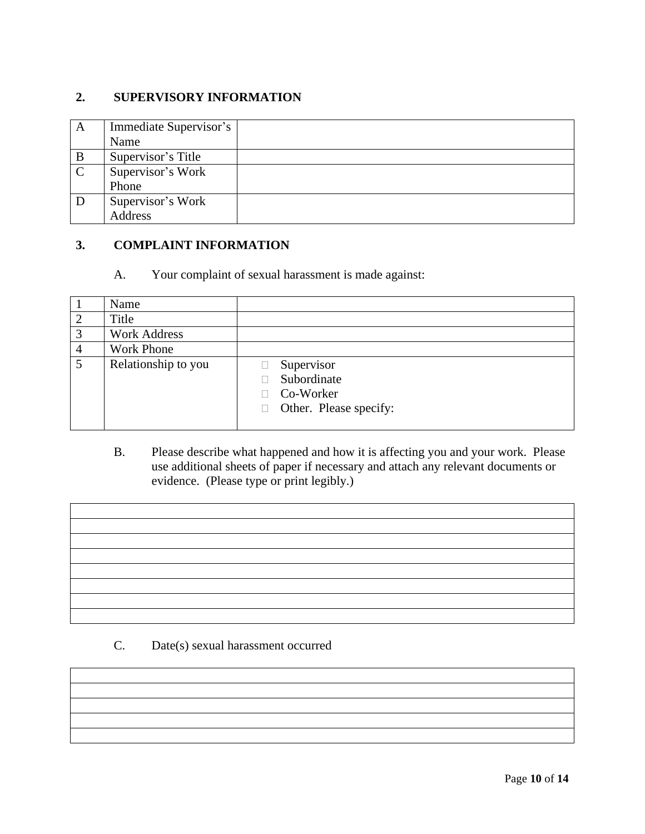## **2. SUPERVISORY INFORMATION**

| A             | Immediate Supervisor's |  |
|---------------|------------------------|--|
|               | Name                   |  |
| B             | Supervisor's Title     |  |
| $\mathcal{C}$ | Supervisor's Work      |  |
|               | Phone                  |  |
|               | Supervisor's Work      |  |
|               | Address                |  |

#### **3. COMPLAINT INFORMATION**

A. Your complaint of sexual harassment is made against:

|   | Name                |                        |
|---|---------------------|------------------------|
|   | Title               |                        |
| 3 | <b>Work Address</b> |                        |
|   | <b>Work Phone</b>   |                        |
|   | Relationship to you | Supervisor             |
|   |                     | Subordinate            |
|   |                     | Co-Worker              |
|   |                     | Other. Please specify: |
|   |                     |                        |

B. Please describe what happened and how it is affecting you and your work. Please use additional sheets of paper if necessary and attach any relevant documents or evidence. (Please type or print legibly.)

| <u> 1980 - Johann Barn, amerikan bestemann eta biztanleria (</u>                                                       |  |  |
|------------------------------------------------------------------------------------------------------------------------|--|--|
| <u> 1989 - Johann Stoff, deutscher Stoffen und der Stoffen und der Stoffen und der Stoffen und der Stoffen und der</u> |  |  |
|                                                                                                                        |  |  |
| <u> 1989 - Johann Barn, amerikansk politiker (d. 1989)</u>                                                             |  |  |
| <u> 1989 - Johann Stoff, amerikansk politiker (d. 1989)</u>                                                            |  |  |
| the control of the control of the control of the control of the control of the control of                              |  |  |
|                                                                                                                        |  |  |
| <u> 1989 - Andrea Santana, amerikana amerikana amerikana amerikana amerikana amerikana amerikana amerikana amerika</u> |  |  |

C. Date(s) sexual harassment occurred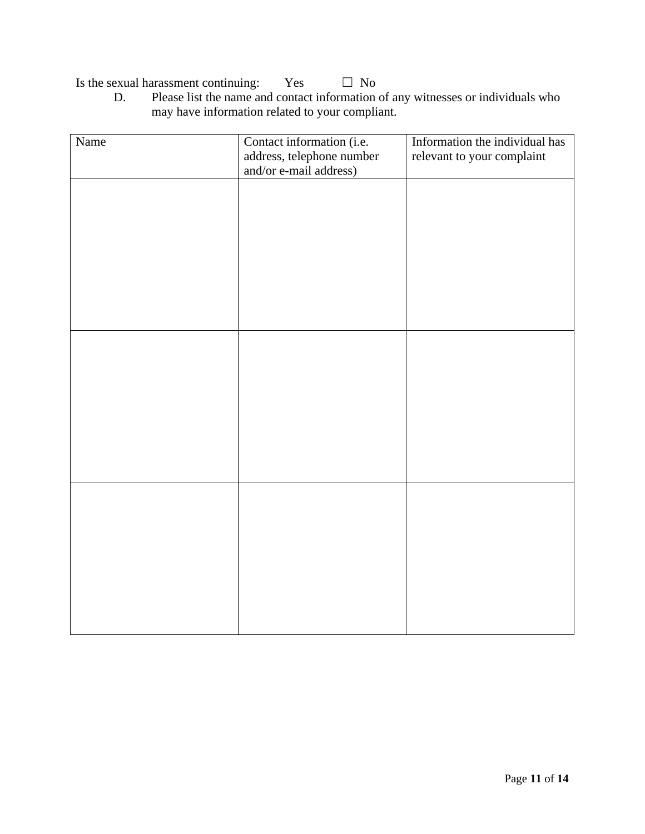Is the sexual harassment continuing:  $Yes$   $\Box$  No

D. Please list the name and contact information of any witnesses or individuals who may have information related to your compliant.

| Name | Contact information (i.e.<br>address, telephone number<br>and/or e-mail address) | Information the individual has<br>relevant to your complaint |
|------|----------------------------------------------------------------------------------|--------------------------------------------------------------|
|      |                                                                                  |                                                              |
|      |                                                                                  |                                                              |
|      |                                                                                  |                                                              |
|      |                                                                                  |                                                              |
|      |                                                                                  |                                                              |
|      |                                                                                  |                                                              |
|      |                                                                                  |                                                              |
|      |                                                                                  |                                                              |
|      |                                                                                  |                                                              |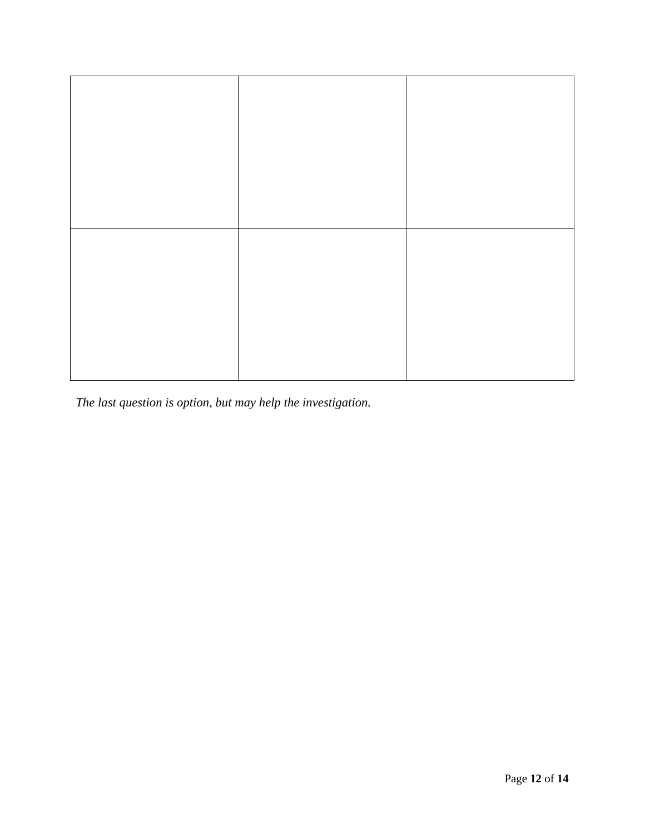*The last question is option, but may help the investigation.*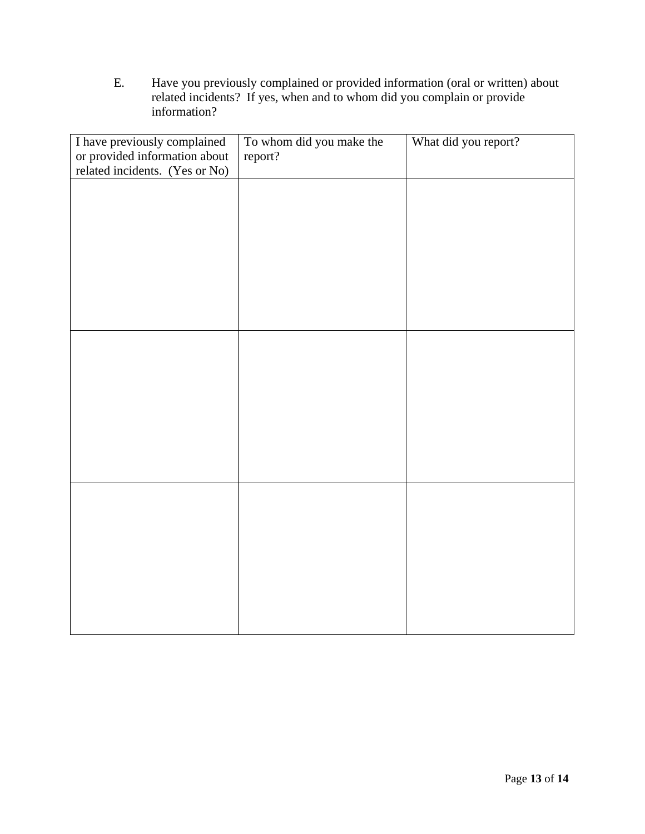E. Have you previously complained or provided information (oral or written) about related incidents? If yes, when and to whom did you complain or provide information?

| I have previously complained<br>or provided information about<br>related incidents. (Yes or No) | To whom did you make the<br>report? | What did you report? |
|-------------------------------------------------------------------------------------------------|-------------------------------------|----------------------|
|                                                                                                 |                                     |                      |
|                                                                                                 |                                     |                      |
|                                                                                                 |                                     |                      |
|                                                                                                 |                                     |                      |
|                                                                                                 |                                     |                      |
|                                                                                                 |                                     |                      |
|                                                                                                 |                                     |                      |
|                                                                                                 |                                     |                      |
|                                                                                                 |                                     |                      |
|                                                                                                 |                                     |                      |